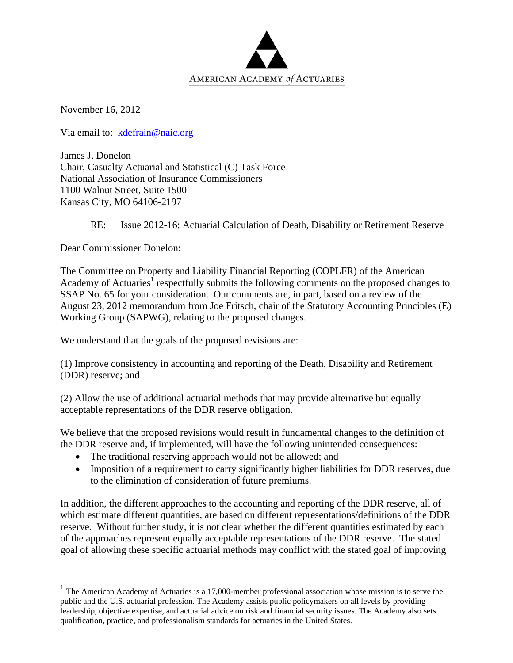

November 16, 2012

Via email to: kdefrain@naic.org

James J. Donelon Chair, Casualty Actuarial and Statistical (C) Task Force National Association of Insurance Commissioners 1100 Walnut Street, Suite 1500 Kansas City, MO 64106-2197

RE: Issue 2012-16: Actuarial Calculation of Death, Disability or Retirement Reserve

Dear Commissioner Donelon:

<u>.</u>

The Committee on Property and Liability Financial Reporting (COPLFR) of the American Academy of Actuaries<sup>1</sup> respectfully submits the following comments on the proposed changes to SSAP No. 65 for your consideration. Our comments are, in part, based on a review of the August 23, 2012 memorandum from Joe Fritsch, chair of the Statutory Accounting Principles (E) Working Group (SAPWG), relating to the proposed changes.

We understand that the goals of the proposed revisions are:

(1) Improve consistency in accounting and reporting of the Death, Disability and Retirement (DDR) reserve; and

(2) Allow the use of additional actuarial methods that may provide alternative but equally acceptable representations of the DDR reserve obligation.

We believe that the proposed revisions would result in fundamental changes to the definition of the DDR reserve and, if implemented, will have the following unintended consequences:

- The traditional reserving approach would not be allowed; and
- Imposition of a requirement to carry significantly higher liabilities for DDR reserves, due to the elimination of consideration of future premiums.

In addition, the different approaches to the accounting and reporting of the DDR reserve, all of which estimate different quantities, are based on different representations/definitions of the DDR reserve. Without further study, it is not clear whether the different quantities estimated by each of the approaches represent equally acceptable representations of the DDR reserve. The stated goal of allowing these specific actuarial methods may conflict with the stated goal of improving

 $1$  The American Academy of Actuaries is a 17,000-member professional association whose mission is to serve the public and the U.S. actuarial profession. The Academy assists public policymakers on all levels by providing leadership, objective expertise, and actuarial advice on risk and financial security issues. The Academy also sets qualification, practice, and professionalism standards for actuaries in the United States.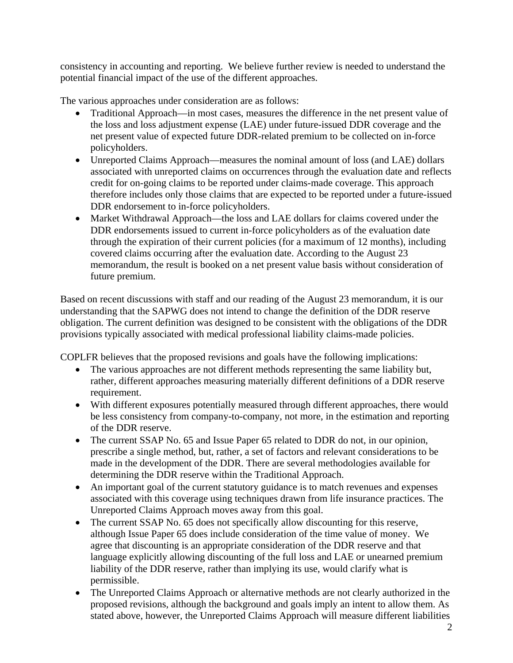consistency in accounting and reporting. We believe further review is needed to understand the potential financial impact of the use of the different approaches.

The various approaches under consideration are as follows:

- Traditional Approach—in most cases, measures the difference in the net present value of the loss and loss adjustment expense (LAE) under future-issued DDR coverage and the net present value of expected future DDR-related premium to be collected on in-force policyholders.
- Unreported Claims Approach—measures the nominal amount of loss (and LAE) dollars associated with unreported claims on occurrences through the evaluation date and reflects credit for on-going claims to be reported under claims-made coverage. This approach therefore includes only those claims that are expected to be reported under a future-issued DDR endorsement to in-force policyholders.
- Market Withdrawal Approach—the loss and LAE dollars for claims covered under the DDR endorsements issued to current in-force policyholders as of the evaluation date through the expiration of their current policies (for a maximum of 12 months), including covered claims occurring after the evaluation date. According to the August 23 memorandum, the result is booked on a net present value basis without consideration of future premium.

Based on recent discussions with staff and our reading of the August 23 memorandum, it is our understanding that the SAPWG does not intend to change the definition of the DDR reserve obligation. The current definition was designed to be consistent with the obligations of the DDR provisions typically associated with medical professional liability claims-made policies.

COPLFR believes that the proposed revisions and goals have the following implications:

- The various approaches are not different methods representing the same liability but, rather, different approaches measuring materially different definitions of a DDR reserve requirement.
- With different exposures potentially measured through different approaches, there would be less consistency from company-to-company, not more, in the estimation and reporting of the DDR reserve.
- The current SSAP No. 65 and Issue Paper 65 related to DDR do not, in our opinion, prescribe a single method, but, rather, a set of factors and relevant considerations to be made in the development of the DDR. There are several methodologies available for determining the DDR reserve within the Traditional Approach.
- An important goal of the current statutory guidance is to match revenues and expenses associated with this coverage using techniques drawn from life insurance practices. The Unreported Claims Approach moves away from this goal.
- The current SSAP No. 65 does not specifically allow discounting for this reserve, although Issue Paper 65 does include consideration of the time value of money. We agree that discounting is an appropriate consideration of the DDR reserve and that language explicitly allowing discounting of the full loss and LAE or unearned premium liability of the DDR reserve, rather than implying its use, would clarify what is permissible.
- The Unreported Claims Approach or alternative methods are not clearly authorized in the proposed revisions, although the background and goals imply an intent to allow them. As stated above, however, the Unreported Claims Approach will measure different liabilities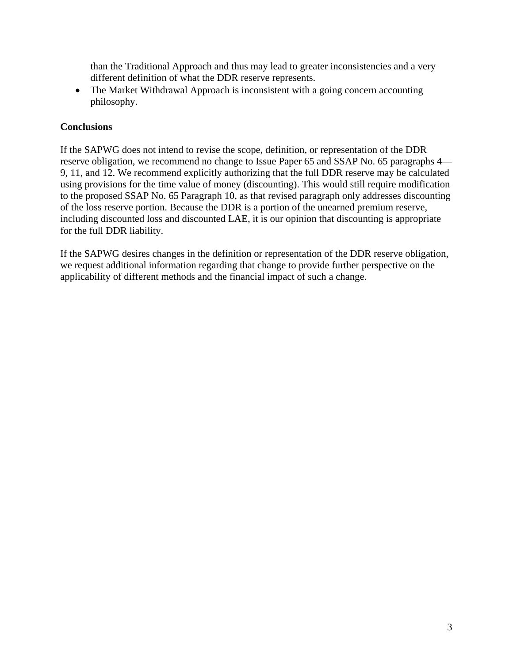than the Traditional Approach and thus may lead to greater inconsistencies and a very different definition of what the DDR reserve represents.

• The Market Withdrawal Approach is inconsistent with a going concern accounting philosophy.

# **Conclusions**

If the SAPWG does not intend to revise the scope, definition, or representation of the DDR reserve obligation, we recommend no change to Issue Paper 65 and SSAP No. 65 paragraphs 4— 9, 11, and 12. We recommend explicitly authorizing that the full DDR reserve may be calculated using provisions for the time value of money (discounting). This would still require modification to the proposed SSAP No. 65 Paragraph 10, as that revised paragraph only addresses discounting of the loss reserve portion. Because the DDR is a portion of the unearned premium reserve, including discounted loss and discounted LAE, it is our opinion that discounting is appropriate for the full DDR liability.

If the SAPWG desires changes in the definition or representation of the DDR reserve obligation, we request additional information regarding that change to provide further perspective on the applicability of different methods and the financial impact of such a change.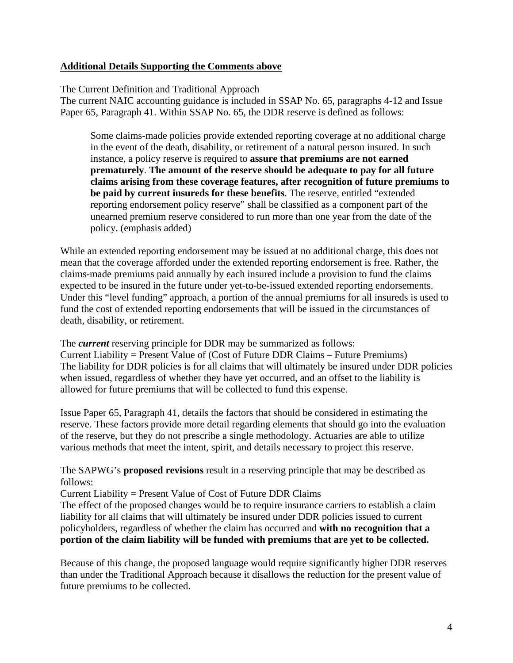# **Additional Details Supporting the Comments above**

### The Current Definition and Traditional Approach

The current NAIC accounting guidance is included in SSAP No. 65, paragraphs 4-12 and Issue Paper 65, Paragraph 41. Within SSAP No. 65, the DDR reserve is defined as follows:

Some claims-made policies provide extended reporting coverage at no additional charge in the event of the death, disability, or retirement of a natural person insured. In such instance, a policy reserve is required to **assure that premiums are not earned prematurely**. **The amount of the reserve should be adequate to pay for all future claims arising from these coverage features, after recognition of future premiums to be paid by current insureds for these benefits**. The reserve, entitled "extended reporting endorsement policy reserve" shall be classified as a component part of the unearned premium reserve considered to run more than one year from the date of the policy. (emphasis added)

While an extended reporting endorsement may be issued at no additional charge, this does not mean that the coverage afforded under the extended reporting endorsement is free. Rather, the claims-made premiums paid annually by each insured include a provision to fund the claims expected to be insured in the future under yet-to-be-issued extended reporting endorsements. Under this "level funding" approach, a portion of the annual premiums for all insureds is used to fund the cost of extended reporting endorsements that will be issued in the circumstances of death, disability, or retirement.

The *current* reserving principle for DDR may be summarized as follows: Current Liability = Present Value of (Cost of Future DDR Claims – Future Premiums) The liability for DDR policies is for all claims that will ultimately be insured under DDR policies when issued, regardless of whether they have yet occurred, and an offset to the liability is allowed for future premiums that will be collected to fund this expense.

Issue Paper 65, Paragraph 41, details the factors that should be considered in estimating the reserve. These factors provide more detail regarding elements that should go into the evaluation of the reserve, but they do not prescribe a single methodology. Actuaries are able to utilize various methods that meet the intent, spirit, and details necessary to project this reserve.

# The SAPWG's **proposed revisions** result in a reserving principle that may be described as follows:

Current Liability = Present Value of Cost of Future DDR Claims

The effect of the proposed changes would be to require insurance carriers to establish a claim liability for all claims that will ultimately be insured under DDR policies issued to current policyholders, regardless of whether the claim has occurred and **with no recognition that a portion of the claim liability will be funded with premiums that are yet to be collected.** 

Because of this change, the proposed language would require significantly higher DDR reserves than under the Traditional Approach because it disallows the reduction for the present value of future premiums to be collected.